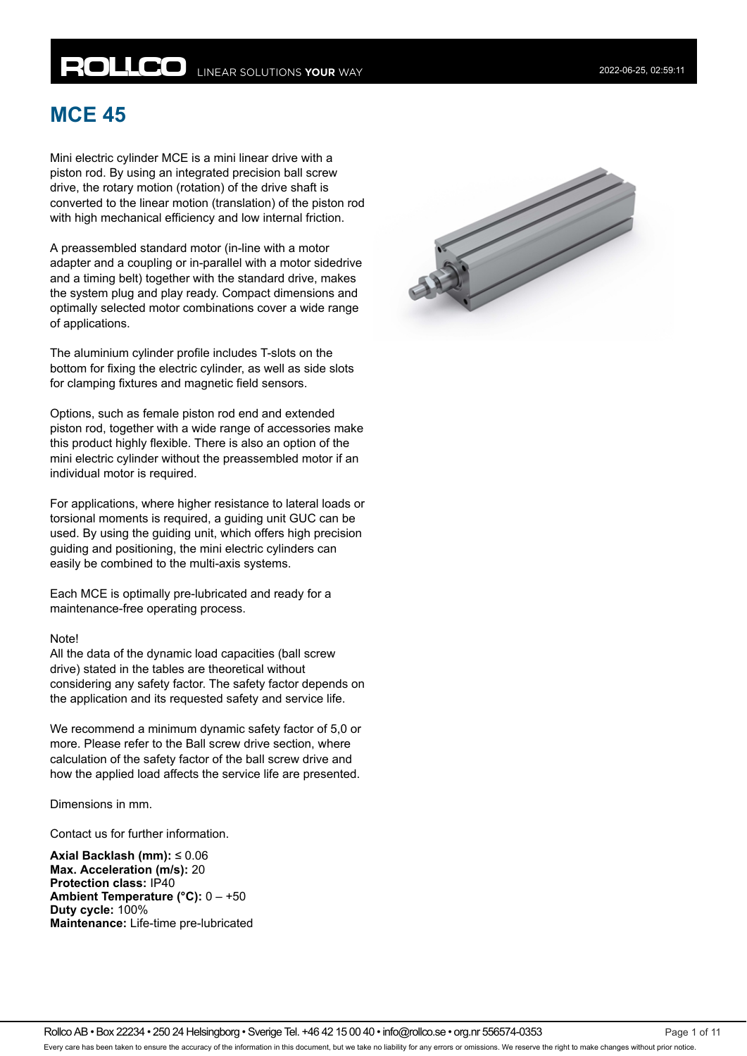# **MCE 45**

Mini electric cylinder MCE is a mini linear drive with a piston rod. By using an integrated precision ball screw drive, the rotary motion (rotation) of the drive shaft is converted to the linear motion (translation) of the piston rod with high mechanical efficiency and low internal friction.

A preassembled standard motor (in-line with a motor adapter and a coupling or in-parallel with a motor sidedrive and a timing belt) together with the standard drive, makes the system plug and play ready. Compact dimensions and optimally selected motor combinations cover a wide range of applications.

The aluminium cylinder profile includes T-slots on the bottom for fixing the electric cylinder, as well as side slots for clamping fixtures and magnetic field sensors.

Options, such as female piston rod end and extended piston rod, together with a wide range of accessories make this product highly flexible. There is also an option of the mini electric cylinder without the preassembled motor if an individual motor is required.

For applications, where higher resistance to lateral loads or torsional moments is required, a guiding unit GUC can be used. By using the guiding unit, which offers high precision guiding and positioning, the mini electric cylinders can easily be combined to the multi-axis systems.

Each MCE is optimally pre-lubricated and ready for a maintenance-free operating process.

#### Note!

All the data of the dynamic load capacities (ball screw drive) stated in the tables are theoretical without considering any safety factor. The safety factor depends on the application and its requested safety and service life.

We recommend a minimum dynamic safety factor of 5,0 or more. Please refer to the Ball screw drive section, where calculation of the safety factor of the ball screw drive and how the applied load affects the service life are presented.

Dimensions in mm.

Contact us for further information.

**Axial Backlash (mm):** ≤ 0.06 **Max. Acceleration (m/s):** 20 **Protection class:** IP40 **Ambient Temperature (°C):** 0 – +50 **Duty cycle:** 100% **Maintenance:** Life-time pre-lubricated

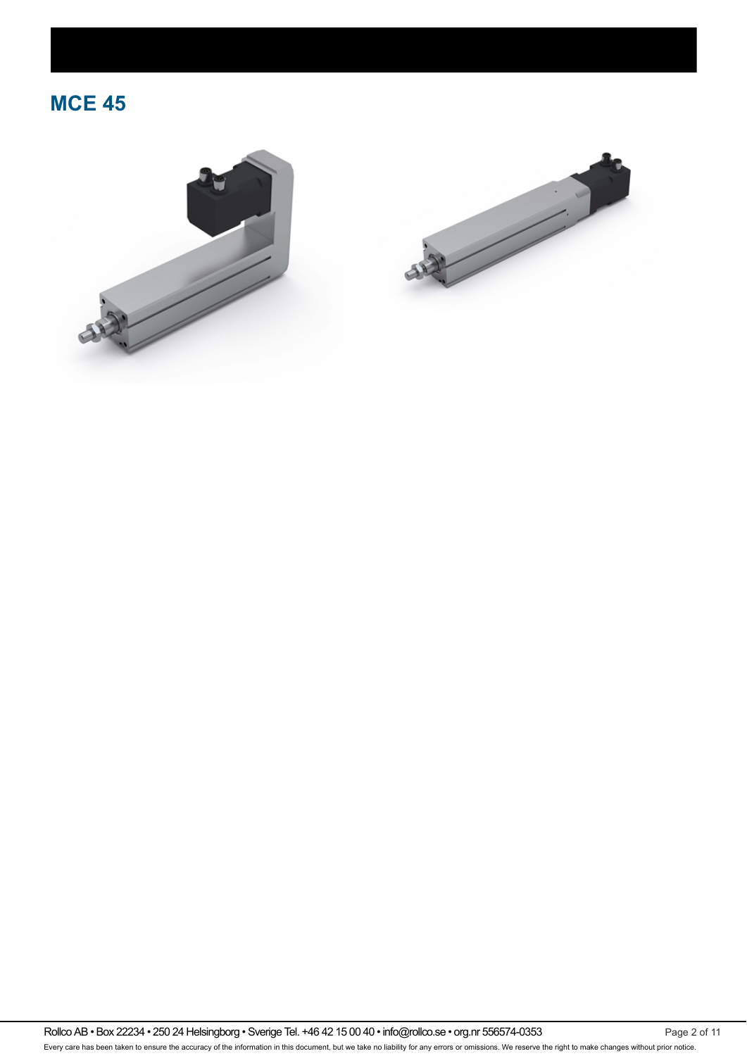



Rollco AB • Box 22234 • 250 24 Helsingborg • Sverige Tel. +46 42 15 00 40 • info@rollco.se • org.nr 556574-0353 Page 2 of 11 Every care has been taken to ensure the accuracy of the information in this document, but we take no liability for any errors or omissions. We reserve the right to make changes without prior notice.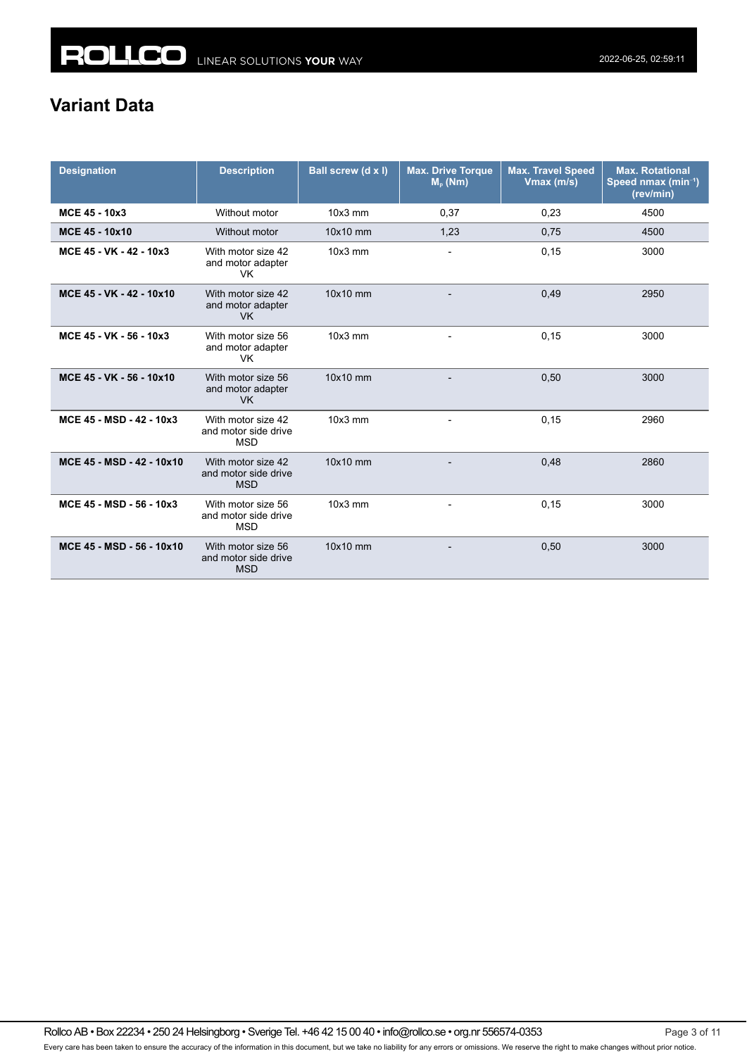# **Variant Data**

| <b>Designation</b>        | <b>Description</b>                                       | Ball screw (d x l) | <b>Max. Drive Torque</b><br>$M_{p}$ (Nm) | <b>Max. Travel Speed</b><br>Vmax (m/s) | <b>Max. Rotational</b><br>Speed nmax (min <sup>-1</sup> )<br>(rev/min) |
|---------------------------|----------------------------------------------------------|--------------------|------------------------------------------|----------------------------------------|------------------------------------------------------------------------|
| MCE 45 - 10x3             | Without motor                                            | $10x3$ mm          | 0,37                                     | 0,23                                   | 4500                                                                   |
| MCE 45 - 10x10            | Without motor                                            | 10x10 mm           | 1,23                                     | 0,75                                   | 4500                                                                   |
| MCE 45 - VK - 42 - 10x3   | With motor size 42<br>and motor adapter<br>VK.           | 10x3 mm            | $\overline{\phantom{a}}$                 | 0,15                                   | 3000                                                                   |
| MCE 45 - VK - 42 - 10x10  | With motor size 42<br>and motor adapter<br><b>VK</b>     | 10x10 mm           |                                          | 0,49                                   | 2950                                                                   |
| MCE 45 - VK - 56 - 10x3   | With motor size 56<br>and motor adapter<br><b>VK</b>     | $10x3$ mm          |                                          | 0,15                                   | 3000                                                                   |
| MCE 45 - VK - 56 - 10x10  | With motor size 56<br>and motor adapter<br><b>VK</b>     | 10x10 mm           |                                          | 0,50                                   | 3000                                                                   |
| MCE 45 - MSD - 42 - 10x3  | With motor size 42<br>and motor side drive<br><b>MSD</b> | $10x3$ mm          | $\overline{\phantom{a}}$                 | 0,15                                   | 2960                                                                   |
| MCE 45 - MSD - 42 - 10x10 | With motor size 42<br>and motor side drive<br><b>MSD</b> | 10x10 mm           |                                          | 0,48                                   | 2860                                                                   |
| MCE 45 - MSD - 56 - 10x3  | With motor size 56<br>and motor side drive<br><b>MSD</b> | $10x3$ mm          | $\overline{\phantom{0}}$                 | 0,15                                   | 3000                                                                   |
| MCE 45 - MSD - 56 - 10x10 | With motor size 56<br>and motor side drive<br><b>MSD</b> | 10x10 mm           |                                          | 0,50                                   | 3000                                                                   |

Rollco AB • Box 22234 • 250 24 Helsingborg • Sverige Tel. +46 42 15 00 40 • info@rollco.se • org.nr 556574-0353 Page 3 of 11 Every care has been taken to ensure the accuracy of the information in this document, but we take no liability for any errors or omissions. We reserve the right to make changes without prior notice.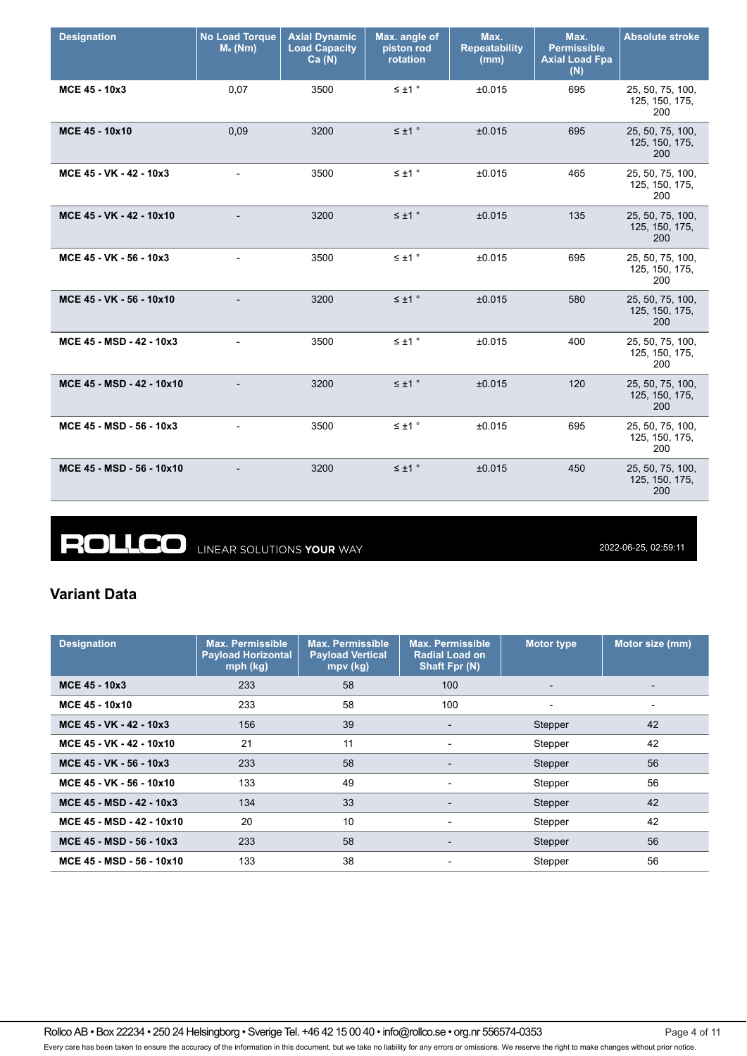| <b>Designation</b>        | <b>No Load Torque</b><br>$M0$ (Nm) | <b>Axial Dynamic</b><br><b>Load Capacity</b><br>Ca(N) | Max. angle of<br>piston rod<br>rotation | Max.<br><b>Repeatability</b><br>(mm) | Max.<br><b>Permissible</b><br><b>Axial Load Fpa</b><br>(N) | <b>Absolute stroke</b>                    |
|---------------------------|------------------------------------|-------------------------------------------------------|-----------------------------------------|--------------------------------------|------------------------------------------------------------|-------------------------------------------|
| MCE 45 - 10x3             | 0,07                               | 3500                                                  | $\leq \pm 1$ °                          | ±0.015                               | 695                                                        | 25, 50, 75, 100,<br>125, 150, 175,<br>200 |
| MCE 45 - 10x10            | 0,09                               | 3200                                                  | $\leq \pm 1$ °                          | ±0.015                               | 695                                                        | 25, 50, 75, 100,<br>125, 150, 175,<br>200 |
| MCE 45 - VK - 42 - 10x3   |                                    | 3500                                                  | $\leq \pm 1$ °                          | ±0.015                               | 465                                                        | 25, 50, 75, 100,<br>125, 150, 175,<br>200 |
| MCE 45 - VK - 42 - 10x10  |                                    | 3200                                                  | $\leq \pm 1$ °                          | ±0.015                               | 135                                                        | 25, 50, 75, 100,<br>125, 150, 175,<br>200 |
| MCE 45 - VK - 56 - 10x3   | $\overline{\phantom{a}}$           | 3500                                                  | $\leq \pm 1$ °                          | ±0.015                               | 695                                                        | 25, 50, 75, 100,<br>125, 150, 175,<br>200 |
| MCE 45 - VK - 56 - 10x10  |                                    | 3200                                                  | $\leq \pm 1$ °                          | ±0.015                               | 580                                                        | 25, 50, 75, 100,<br>125, 150, 175,<br>200 |
| MCE 45 - MSD - 42 - 10x3  |                                    | 3500                                                  | $\leq \pm 1$ $^{\circ}$                 | ±0.015                               | 400                                                        | 25, 50, 75, 100,<br>125, 150, 175,<br>200 |
| MCE 45 - MSD - 42 - 10x10 |                                    | 3200                                                  | $\leq \pm 1$ $^{\circ}$                 | ±0.015                               | 120                                                        | 25, 50, 75, 100,<br>125, 150, 175,<br>200 |
| MCE 45 - MSD - 56 - 10x3  |                                    | 3500                                                  | $\leq \pm 1$ °                          | ±0.015                               | 695                                                        | 25, 50, 75, 100,<br>125, 150, 175,<br>200 |
| MCE 45 - MSD - 56 - 10x10 |                                    | 3200                                                  | $\leq \pm 1$ °                          | ±0.015                               | 450                                                        | 25, 50, 75, 100,<br>125, 150, 175,<br>200 |

**ROLLCO** LINEAR SOLUTIONS YOUR WAY

2022-06-25, 02:59:11

### **Variant Data**

| <b>Designation</b>        | <b>Max. Permissible</b><br><b>Payload Horizontal</b><br>mph (kg) | <b>Max. Permissible</b><br><b>Payload Vertical</b><br>mpv (kg) | <b>Max. Permissible</b><br><b>Radial Load on</b><br>Shaft Fpr (N) | <b>Motor type</b>        | Motor size (mm) |
|---------------------------|------------------------------------------------------------------|----------------------------------------------------------------|-------------------------------------------------------------------|--------------------------|-----------------|
| MCE 45 - 10x3             | 233                                                              | 58                                                             | 100                                                               | $\overline{\phantom{0}}$ |                 |
| MCE 45 - 10x10            | 233                                                              | 58                                                             | 100                                                               |                          |                 |
| MCE 45 - VK - 42 - 10x3   | 156                                                              | 39                                                             | $\overline{\phantom{a}}$                                          | Stepper                  | 42              |
| MCE 45 - VK - 42 - 10x10  | 21                                                               | 11                                                             | -                                                                 | Stepper                  | 42              |
| MCE 45 - VK - 56 - 10x3   | 233                                                              | 58                                                             | $\overline{\phantom{0}}$                                          | Stepper                  | 56              |
| MCE 45 - VK - 56 - 10x10  | 133                                                              | 49                                                             | -                                                                 | Stepper                  | 56              |
| MCE 45 - MSD - 42 - 10x3  | 134                                                              | 33                                                             | $\overline{\phantom{0}}$                                          | <b>Stepper</b>           | 42              |
| MCE 45 - MSD - 42 - 10x10 | 20                                                               | 10                                                             | $\overline{\phantom{a}}$                                          | Stepper                  | 42              |
| MCE 45 - MSD - 56 - 10x3  | 233                                                              | 58                                                             | $\overline{\phantom{a}}$                                          | Stepper                  | 56              |
| MCE 45 - MSD - 56 - 10x10 | 133                                                              | 38                                                             | $\overline{\phantom{a}}$                                          | Stepper                  | 56              |

Rollco AB • Box 22234 • 250 24 Helsingborg • Sverige Tel. +46 42 15 00 40 • info@rollco.se • org.nr 556574-0353 Page 4 of 11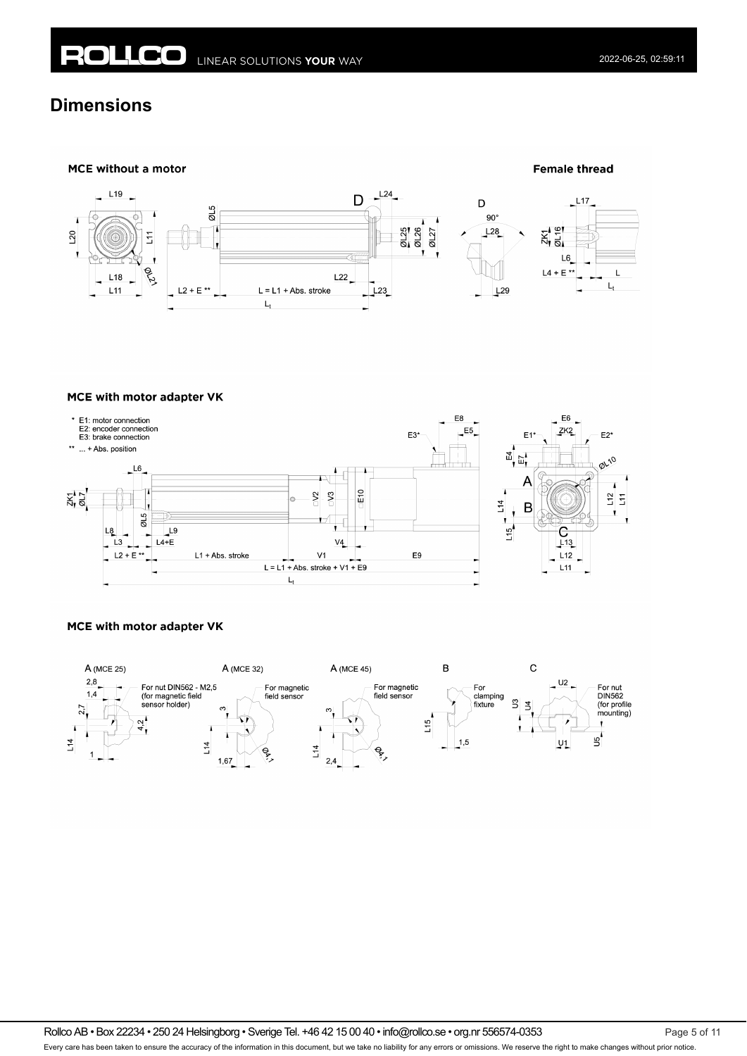# **Dimensions**



#### MCE with motor adapter VK



### MCE with motor adapter VK



Rollco AB • Box 22234 • 250 24 Helsingborg • Sverige Tel. +46 42 15 00 40 • info@rollco.se • org.nr 556574-0353 Page 5 of 11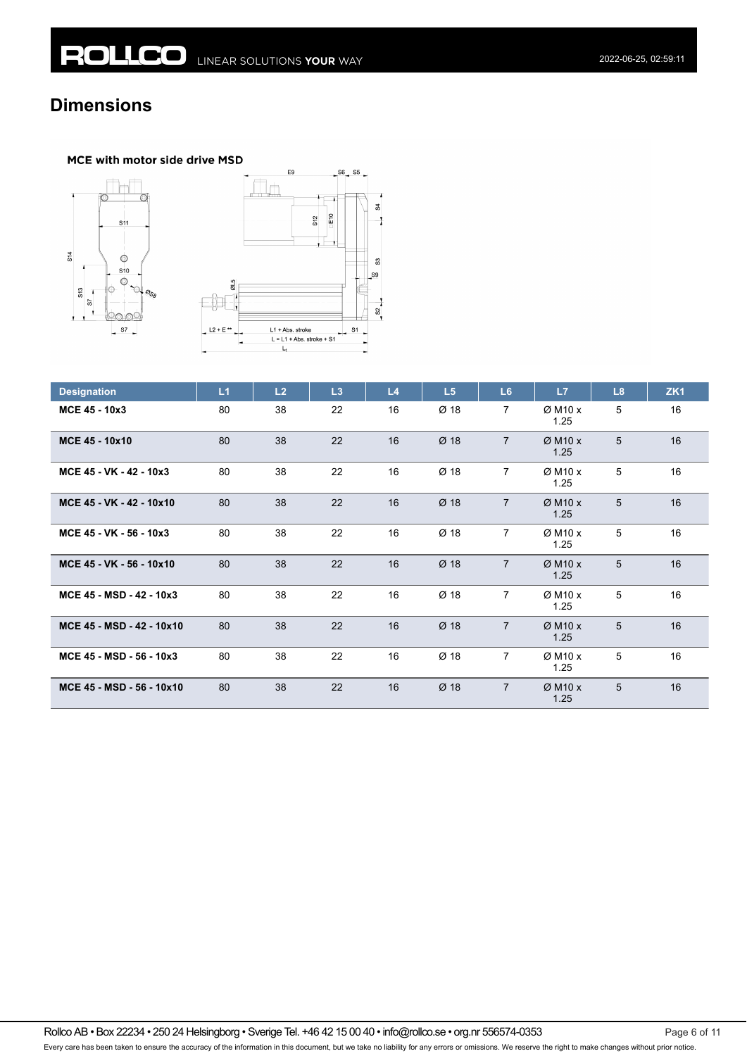# **Dimensions**

### MCE with motor side drive MSD





| <b>Designation</b>        | L1 | L2 | L3 | L4 | L5     | L6             | L7                            | L8 | ZK <sub>1</sub> |
|---------------------------|----|----|----|----|--------|----------------|-------------------------------|----|-----------------|
| MCE 45 - 10x3             | 80 | 38 | 22 | 16 | Ø 18   | $\overline{7}$ | $Ø$ M <sub>10</sub> x<br>1.25 | 5  | 16              |
| MCE 45 - 10x10            | 80 | 38 | 22 | 16 | $Ø$ 18 | $\overline{7}$ | $Ø$ M <sub>10</sub> x<br>1.25 | 5  | 16              |
| MCE 45 - VK - 42 - 10x3   | 80 | 38 | 22 | 16 | Ø 18   | 7              | $Ø$ M <sub>10</sub> x<br>1.25 | 5  | 16              |
| MCE 45 - VK - 42 - 10x10  | 80 | 38 | 22 | 16 | Ø 18   | $\overline{7}$ | $Ø$ M <sub>10</sub> x<br>1.25 | 5  | 16              |
| MCE 45 - VK - 56 - 10x3   | 80 | 38 | 22 | 16 | Ø 18   | $\overline{7}$ | $Ø$ M <sub>10</sub> x<br>1.25 | 5  | 16              |
| MCE 45 - VK - 56 - 10x10  | 80 | 38 | 22 | 16 | $Ø$ 18 | $\overline{7}$ | $Ø$ M <sub>10</sub> x<br>1.25 | 5  | 16              |
| MCE 45 - MSD - 42 - 10x3  | 80 | 38 | 22 | 16 | Ø 18   | $\overline{7}$ | $Ø$ M <sub>10</sub> x<br>1.25 | 5  | 16              |
| MCE 45 - MSD - 42 - 10x10 | 80 | 38 | 22 | 16 | $Ø$ 18 | $\overline{7}$ | $Ø$ M <sub>10</sub> x<br>1.25 | 5  | 16              |
| MCE 45 - MSD - 56 - 10x3  | 80 | 38 | 22 | 16 | Ø 18   | $\overline{7}$ | $Ø$ M <sub>10</sub> x<br>1.25 | 5  | 16              |
| MCE 45 - MSD - 56 - 10x10 | 80 | 38 | 22 | 16 | $Ø$ 18 | $\overline{7}$ | $Ø$ M <sub>10</sub> x<br>1.25 | 5  | 16              |

Rollco AB • Box 22234 • 250 24 Helsingborg • Sverige Tel. +46 42 15 00 40 • info@rollco.se • org.nr 556574-0353 Page 6 of 11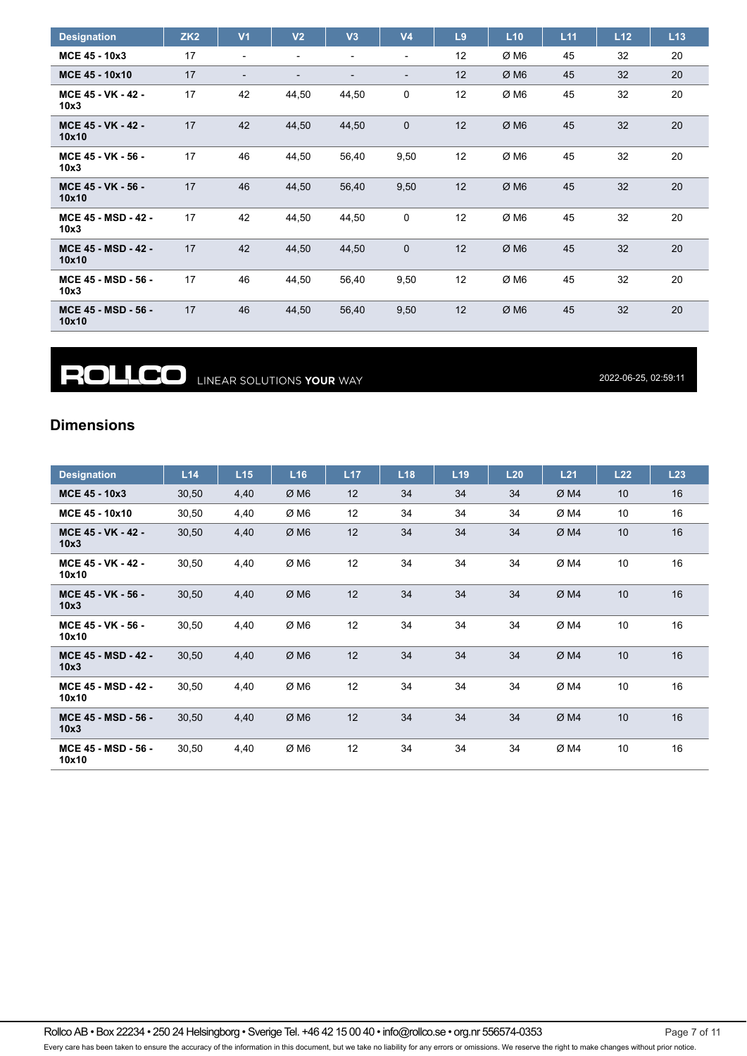| <b>Designation</b>                  | ZK <sub>2</sub> | V <sub>1</sub>           | V <sub>2</sub>           | V3                       | V <sub>4</sub>           | L9 | L10  | L11 | L12 | L13 |
|-------------------------------------|-----------------|--------------------------|--------------------------|--------------------------|--------------------------|----|------|-----|-----|-----|
| MCE 45 - 10x3                       | 17              | $\blacksquare$           |                          | $\blacksquare$           | $\overline{\phantom{a}}$ | 12 | ØM6  | 45  | 32  | 20  |
| MCE 45 - 10x10                      | 17              | $\overline{\phantom{0}}$ | $\overline{\phantom{0}}$ | $\overline{\phantom{a}}$ | $\overline{\phantom{a}}$ | 12 | ØM6  | 45  | 32  | 20  |
| MCE 45 - VK - 42 -<br>10x3          | 17              | 42                       | 44,50                    | 44,50                    | 0                        | 12 | ØM6  | 45  | 32  | 20  |
| MCE 45 - VK - 42 -<br>10x10         | 17              | 42                       | 44,50                    | 44,50                    | $\mathbf 0$              | 12 | ØM6  | 45  | 32  | 20  |
| MCE 45 - VK - 56 -<br>10x3          | 17              | 46                       | 44,50                    | 56,40                    | 9,50                     | 12 | ØM6  | 45  | 32  | 20  |
| MCE 45 - VK - 56 -<br>10x10         | 17              | 46                       | 44,50                    | 56,40                    | 9,50                     | 12 | ØM6  | 45  | 32  | 20  |
| <b>MCE 45 - MSD - 42 -</b><br>10x3  | 17              | 42                       | 44,50                    | 44,50                    | 0                        | 12 | Ø M6 | 45  | 32  | 20  |
| <b>MCE 45 - MSD - 42 -</b><br>10x10 | 17              | 42                       | 44,50                    | 44,50                    | $\mathbf 0$              | 12 | ØM6  | 45  | 32  | 20  |
| MCE 45 - MSD - 56 -<br>10x3         | 17              | 46                       | 44,50                    | 56,40                    | 9,50                     | 12 | Ø M6 | 45  | 32  | 20  |
| <b>MCE 45 - MSD - 56 -</b><br>10x10 | 17              | 46                       | 44,50                    | 56,40                    | 9,50                     | 12 | ØM6  | 45  | 32  | 20  |

**ROLLCO** LINEAR SOLUTIONS YOUR WAY

2022-06-25, 02:59:11

## **Dimensions**

| <b>Designation</b>                  | L14   | L15  | L <sub>16</sub> | L17 | L18 | L <sub>19</sub> | L20 | L21 | L22 | L23 |
|-------------------------------------|-------|------|-----------------|-----|-----|-----------------|-----|-----|-----|-----|
| MCE 45 - 10x3                       | 30,50 | 4,40 | ØM6             | 12  | 34  | 34              | 34  | ØM4 | 10  | 16  |
| MCE 45 - 10x10                      | 30,50 | 4,40 | ØM6             | 12  | 34  | 34              | 34  | ØM4 | 10  | 16  |
| MCE 45 - VK - 42 -<br>10x3          | 30,50 | 4,40 | ØM6             | 12  | 34  | 34              | 34  | ØM4 | 10  | 16  |
| MCE 45 - VK - 42 -<br>10x10         | 30,50 | 4,40 | ØM6             | 12  | 34  | 34              | 34  | ØM4 | 10  | 16  |
| MCE 45 - VK - 56 -<br>10x3          | 30,50 | 4,40 | ØM6             | 12  | 34  | 34              | 34  | ØM4 | 10  | 16  |
| MCE 45 - VK - 56 -<br>10x10         | 30,50 | 4,40 | ØM6             | 12  | 34  | 34              | 34  | ØM4 | 10  | 16  |
| <b>MCE 45 - MSD - 42 -</b><br>10x3  | 30,50 | 4,40 | ØM6             | 12  | 34  | 34              | 34  | ØM4 | 10  | 16  |
| <b>MCE 45 - MSD - 42 -</b><br>10x10 | 30,50 | 4,40 | ØM6             | 12  | 34  | 34              | 34  | ØM4 | 10  | 16  |
| MCE 45 - MSD - 56 -<br>10x3         | 30,50 | 4,40 | ØM6             | 12  | 34  | 34              | 34  | ØM4 | 10  | 16  |
| MCE 45 - MSD - 56 -<br>10x10        | 30,50 | 4,40 | ØM6             | 12  | 34  | 34              | 34  | ØM4 | 10  | 16  |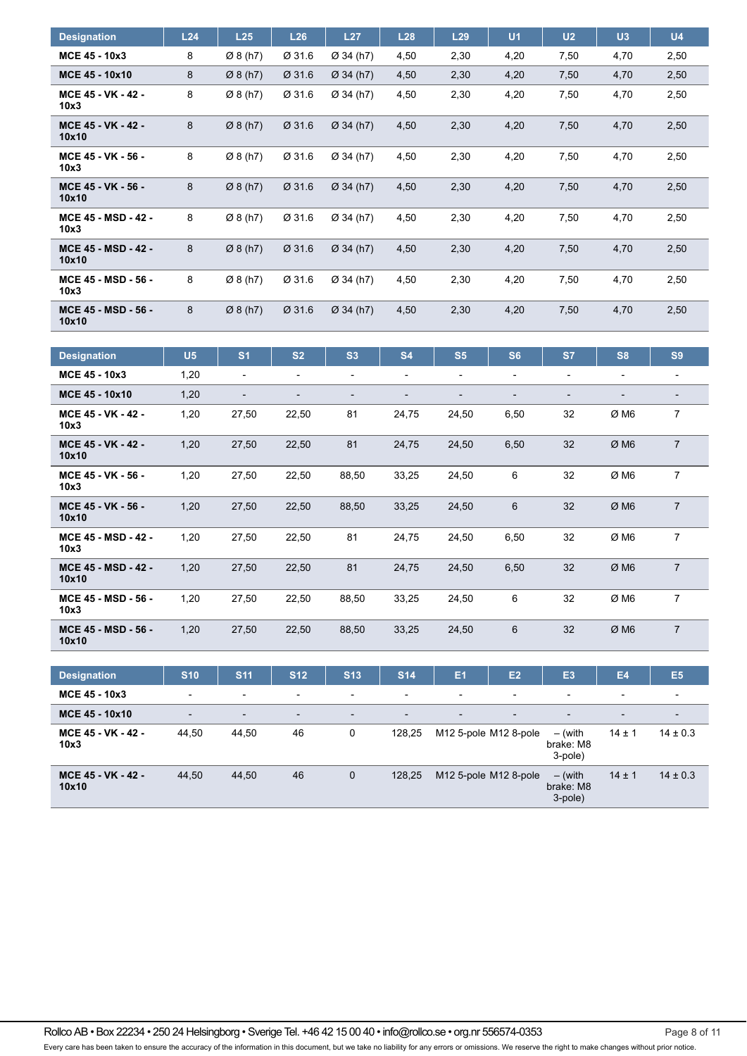| <b>Designation</b>                  | L24 | L25                  | L26    | L27         | L28  | L29  | U <sub>1</sub> | U <sub>2</sub> | U3   | U <sub>4</sub> |
|-------------------------------------|-----|----------------------|--------|-------------|------|------|----------------|----------------|------|----------------|
| MCE 45 - 10x3                       | 8   | Ø8(h7)               | Ø 31.6 | Ø 34 (h7)   | 4,50 | 2,30 | 4,20           | 7,50           | 4,70 | 2,50           |
| MCE 45 - 10x10                      | 8   | $\varnothing$ 8 (h7) | Ø 31.6 | $Ø$ 34 (h7) | 4,50 | 2,30 | 4,20           | 7,50           | 4,70 | 2,50           |
| MCE 45 - VK - 42 -<br>10x3          | 8   | Ø8(h7)               | Ø 31.6 | Ø 34 (h7)   | 4,50 | 2,30 | 4,20           | 7,50           | 4,70 | 2,50           |
| MCE 45 - VK - 42 -<br>10x10         | 8   | $\varnothing$ 8 (h7) | Ø 31.6 | $Ø$ 34 (h7) | 4,50 | 2,30 | 4,20           | 7,50           | 4,70 | 2,50           |
| MCE 45 - VK - 56 -<br>10x3          | 8   | $\varnothing$ 8 (h7) | Ø 31.6 | Ø 34 (h7)   | 4,50 | 2,30 | 4,20           | 7,50           | 4,70 | 2,50           |
| MCE 45 - VK - 56 -<br>10x10         | 8   | $\varnothing$ 8 (h7) | Ø 31.6 | $Ø$ 34 (h7) | 4,50 | 2,30 | 4,20           | 7,50           | 4,70 | 2,50           |
| <b>MCE 45 - MSD - 42 -</b><br>10x3  | 8   | Ø8(h7)               | Ø 31.6 | Ø 34 (h7)   | 4,50 | 2,30 | 4,20           | 7,50           | 4,70 | 2,50           |
| <b>MCE 45 - MSD - 42 -</b><br>10x10 | 8   | Ø8(h7)               | Ø 31.6 | $Ø$ 34 (h7) | 4,50 | 2,30 | 4,20           | 7,50           | 4,70 | 2,50           |
| MCE 45 - MSD - 56 -<br>10x3         | 8   | Ø8(h7)               | Ø 31.6 | Ø 34 (h7)   | 4,50 | 2,30 | 4,20           | 7,50           | 4,70 | 2,50           |
| MCE 45 - MSD - 56 -<br>10x10        | 8   | Ø8(h7)               | Ø 31.6 | Ø 34 (h7)   | 4,50 | 2,30 | 4,20           | 7,50           | 4,70 | 2,50           |

| <b>Designation</b>                  | U <sub>5</sub> | S <sub>1</sub> | S <sub>2</sub> | S3                           | <b>S4</b> | S <sub>5</sub>           | S <sub>6</sub>               | <b>S7</b>                | S <sub>8</sub> | S <sub>9</sub> |
|-------------------------------------|----------------|----------------|----------------|------------------------------|-----------|--------------------------|------------------------------|--------------------------|----------------|----------------|
| MCE 45 - 10x3                       | 1,20           | -              | -              | $\overline{\phantom{0}}$     | -         | $\overline{\phantom{a}}$ | $\blacksquare$               | $\blacksquare$           | ۰              |                |
| MCE 45 - 10x10                      | 1,20           |                | -              | $\qquad \qquad \blacksquare$ | -         | $\overline{\phantom{a}}$ | $\qquad \qquad \blacksquare$ | $\overline{\phantom{a}}$ |                | -              |
| MCE 45 - VK - 42 -<br>10x3          | 1,20           | 27,50          | 22,50          | 81                           | 24,75     | 24,50                    | 6,50                         | 32                       | Ø M6           | 7              |
| MCE 45 - VK - 42 -<br>10x10         | 1,20           | 27,50          | 22,50          | 81                           | 24,75     | 24,50                    | 6,50                         | 32                       | ØM6            | $\overline{7}$ |
| MCE 45 - VK - 56 -<br>10x3          | 1,20           | 27,50          | 22,50          | 88,50                        | 33,25     | 24,50                    | 6                            | 32                       | ØM6            | 7              |
| MCE 45 - VK - 56 -<br>10x10         | 1,20           | 27,50          | 22,50          | 88,50                        | 33,25     | 24,50                    | $6\phantom{1}$               | 32                       | ØM6            | $\overline{7}$ |
| <b>MCE 45 - MSD - 42 -</b><br>10x3  | 1,20           | 27,50          | 22,50          | 81                           | 24,75     | 24,50                    | 6,50                         | 32                       | ØM6            | $\overline{7}$ |
| <b>MCE 45 - MSD - 42 -</b><br>10x10 | 1,20           | 27,50          | 22,50          | 81                           | 24,75     | 24,50                    | 6,50                         | 32                       | ØM6            | $\overline{7}$ |
| MCE 45 - MSD - 56 -<br>10x3         | 1,20           | 27,50          | 22,50          | 88,50                        | 33,25     | 24,50                    | 6                            | 32                       | ØM6            | $\overline{7}$ |
| MCE 45 - MSD - 56 -<br>10x10        | 1,20           | 27,50          | 22,50          | 88,50                        | 33,25     | 24,50                    | $6\phantom{1}$               | 32                       | ØM6            | $\overline{7}$ |

| <b>Designation</b>          | <b>S10</b>               | <b>S11</b>               | <b>S12</b>               | <b>S13</b>               | <b>S14</b>     | E1                                            | E <sub>2</sub>           | E <sub>3</sub>                    | E <sub>4</sub>           | E <sub>5</sub>           |
|-----------------------------|--------------------------|--------------------------|--------------------------|--------------------------|----------------|-----------------------------------------------|--------------------------|-----------------------------------|--------------------------|--------------------------|
| MCE 45 - 10x3               | $\overline{\phantom{0}}$ | $\overline{\phantom{0}}$ | -                        | $\overline{\phantom{a}}$ | -              | ۰                                             | $\overline{\phantom{a}}$ | $\overline{\phantom{0}}$          | $\overline{\phantom{0}}$ | $\overline{\phantom{a}}$ |
| MCE 45 - 10x10              | $\overline{\phantom{0}}$ | $\overline{\phantom{0}}$ | $\overline{\phantom{0}}$ | $\overline{\phantom{a}}$ | $\blacksquare$ | $\blacksquare$                                | -                        | $\overline{\phantom{a}}$          | $\overline{\phantom{0}}$ | $\overline{\phantom{0}}$ |
| MCE 45 - VK - 42 -<br>10x3  | 44.50                    | 44.50                    | 46                       | 0                        | 128.25         | M <sub>12</sub> 5-pole M <sub>12</sub> 8-pole |                          | — (with<br>brake: M8<br>3-pole)   | $14 \pm 1$               | $14 \pm 0.3$             |
| MCE 45 - VK - 42 -<br>10x10 | 44,50                    | 44,50                    | 46                       | $\mathbf{0}$             | 128.25         | M <sub>12</sub> 5-pole M <sub>12</sub> 8-pole |                          | $-$ (with<br>brake: M8<br>3-pole) | $14 \pm 1$               | $14 \pm 0.3$             |

Rollco AB • Box 22234 • 250 24 Helsingborg • Sverige Tel. +46 42 15 00 40 • info@rollco.se • org.nr 556574-0353 Page 8 of 11 Every care has been taken to ensure the accuracy of the information in this document, but we take no liability for any errors or omissions. We reserve the right to make changes without prior notice.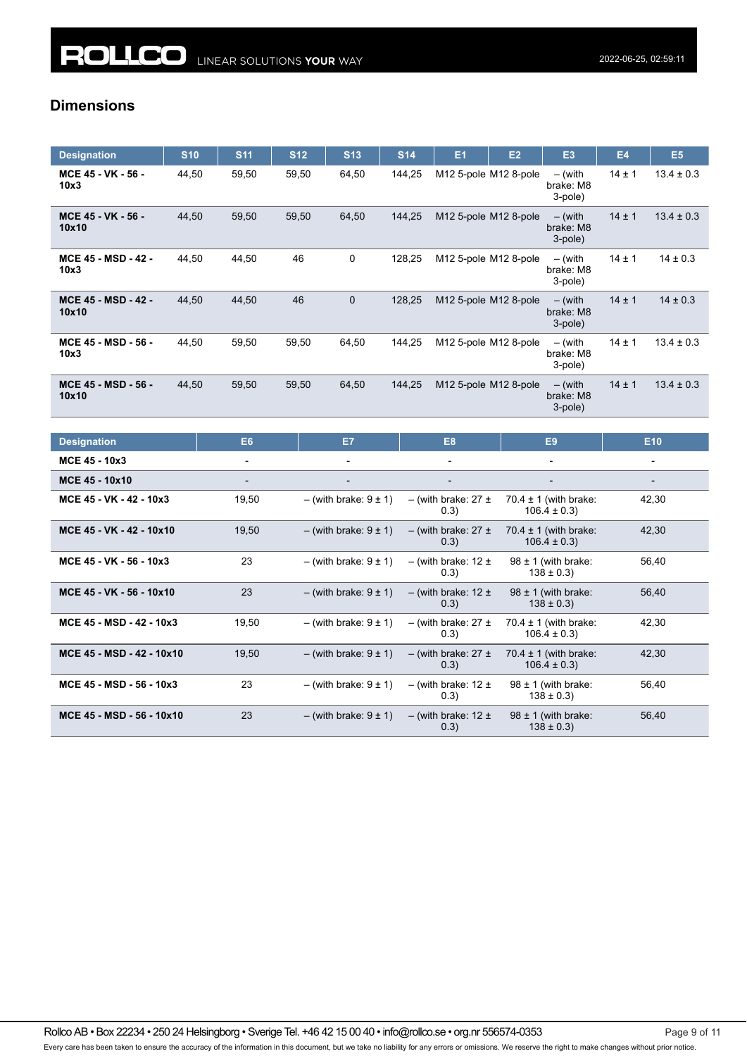## **Dimensions**

| <b>Designation</b>                  | <b>S10</b> | <b>S11</b> | <b>S12</b> | <b>S13</b>   | <b>S14</b> | E <sub>1</sub> | E2                                            | E <sub>3</sub>                    | <b>E4</b>  | E <sub>5</sub> |
|-------------------------------------|------------|------------|------------|--------------|------------|----------------|-----------------------------------------------|-----------------------------------|------------|----------------|
| MCE 45 - VK - 56 -<br>10x3          | 44,50      | 59,50      | 59,50      | 64,50        | 144,25     |                | M <sub>12</sub> 5-pole M <sub>12</sub> 8-pole | $-$ (with<br>brake: M8<br>3-pole) | $14 \pm 1$ | $13.4 \pm 0.3$ |
| MCE 45 - VK - 56 -<br>10x10         | 44,50      | 59,50      | 59,50      | 64,50        | 144,25     |                | M12 5-pole M12 8-pole                         | $-$ (with<br>brake: M8<br>3-pole) | $14 \pm 1$ | $13.4 \pm 0.3$ |
| <b>MCE 45 - MSD - 42 -</b><br>10x3  | 44.50      | 44,50      | 46         | 0            | 128,25     |                | M12 5-pole M12 8-pole                         | $-$ (with<br>brake: M8<br>3-pole) | $14 \pm 1$ | $14 \pm 0.3$   |
| <b>MCE 45 - MSD - 42 -</b><br>10x10 | 44,50      | 44,50      | 46         | $\mathbf{0}$ | 128,25     |                | M12 5-pole M12 8-pole                         | $-$ (with<br>brake: M8<br>3-pole) | $14 \pm 1$ | $14 \pm 0.3$   |
| MCE 45 - MSD - 56 -<br>10x3         | 44.50      | 59,50      | 59,50      | 64,50        | 144,25     |                | M <sub>12</sub> 5-pole M <sub>12</sub> 8-pole | $-$ (with<br>brake: M8<br>3-pole) | $14 \pm 1$ | $13.4 \pm 0.3$ |
| MCE 45 - MSD - 56 -<br>10x10        | 44,50      | 59,50      | 59,50      | 64,50        | 144,25     |                | M12 5-pole M12 8-pole                         | $-$ (with<br>brake: M8<br>3-pole) | $14 \pm 1$ | $13.4 \pm 0.3$ |

| <b>Designation</b>        | E <sub>6</sub> | E7                           | E <sub>8</sub>                    | E <sub>9</sub>                               | E <sub>10</sub> |
|---------------------------|----------------|------------------------------|-----------------------------------|----------------------------------------------|-----------------|
| MCE 45 - 10x3             | $\blacksquare$ | $\overline{\phantom{0}}$     | $\overline{\phantom{a}}$          | $\overline{\phantom{a}}$                     | -               |
| MCE 45 - 10x10            |                |                              |                                   |                                              |                 |
| MCE 45 - VK - 42 - 10x3   | 19,50          | $-$ (with brake: $9 \pm 1$ ) | $-$ (with brake: 27 $\pm$<br>0.3) | 70.4 $\pm$ 1 (with brake:<br>$106.4 \pm 0.3$ | 42,30           |
| MCE 45 - VK - 42 - 10x10  | 19,50          | $-$ (with brake: $9 \pm 1$ ) | $-$ (with brake: 27 $\pm$<br>0.3) | 70.4 $\pm$ 1 (with brake:<br>$106.4 \pm 0.3$ | 42,30           |
| MCE 45 - VK - 56 - 10x3   | 23             | $-$ (with brake: $9 \pm 1$ ) | $-$ (with brake: 12 $\pm$<br>0.3) | $98 \pm 1$ (with brake:<br>$138 \pm 0.3$     | 56,40           |
| MCE 45 - VK - 56 - 10x10  | 23             | $-$ (with brake: $9 \pm 1$ ) | $-$ (with brake: 12 $\pm$<br>0.3) | $98 \pm 1$ (with brake:<br>$138 \pm 0.3$     | 56,40           |
| MCE 45 - MSD - 42 - 10x3  | 19,50          | $-$ (with brake: $9 \pm 1$ ) | $-$ (with brake: 27 $\pm$<br>0.3) | 70.4 $\pm$ 1 (with brake:<br>$106.4 \pm 0.3$ | 42,30           |
| MCE 45 - MSD - 42 - 10x10 | 19,50          | $-$ (with brake: $9 \pm 1$ ) | $-$ (with brake: 27 $\pm$<br>0.3) | 70.4 $\pm$ 1 (with brake:<br>$106.4 \pm 0.3$ | 42,30           |
| MCE 45 - MSD - 56 - 10x3  | 23             | $-$ (with brake: $9 \pm 1$ ) | $-$ (with brake: 12 $\pm$<br>0.3) | $98 \pm 1$ (with brake:<br>$138 \pm 0.3$ )   | 56,40           |
| MCE 45 - MSD - 56 - 10x10 | 23             | $-$ (with brake: $9 \pm 1$ ) | $-$ (with brake: 12 $\pm$<br>0.3) | $98 \pm 1$ (with brake:<br>$138 \pm 0.3$     | 56,40           |

Rollco AB • Box 22234 • 250 24 Helsingborg • Sverige Tel. +46 42 15 00 40 • info@rollco.se • org.nr 556574-0353 Page 9 of 11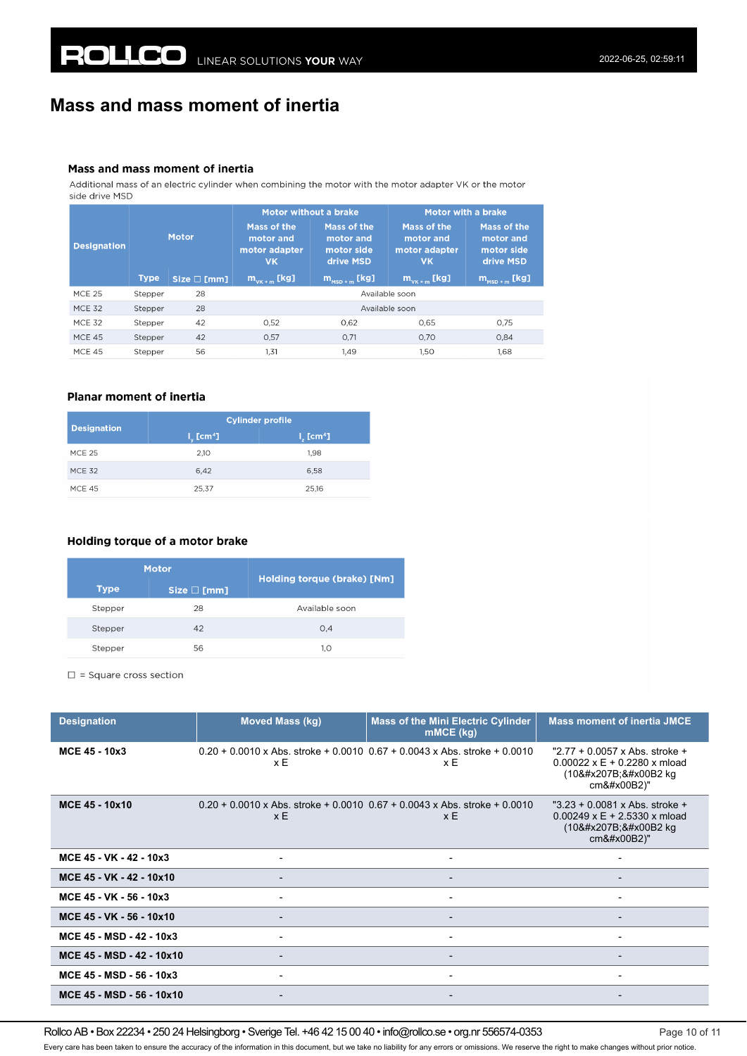# **Mass and mass moment of inertia**

#### Mass and mass moment of inertia

Additional mass of an electric cylinder when combining the motor with the motor adapter VK or the motor side drive MSD

|                    |             |                                                                 | Motor without a brake |                                                     | <b>Motor with a brake</b>                              |                                                     |  |
|--------------------|-------------|-----------------------------------------------------------------|-----------------------|-----------------------------------------------------|--------------------------------------------------------|-----------------------------------------------------|--|
| <b>Designation</b> |             | Mass of the<br>Motor<br>motor and<br>motor adapter<br><b>VK</b> |                       | Mass of the<br>motor and<br>motor side<br>drive MSD | Mass of the<br>motor and<br>motor adapter<br><b>VK</b> | Mass of the<br>motor and<br>motor side<br>drive MSD |  |
|                    | <b>Type</b> | Size $\square$ [mm]                                             | $m_{v_{K+m}}$ [kg]    | $m_{\rm{mso+m}}$ [kg]                               | $m_{v_{K+m}}$ [kg]                                     | $m_{\text{MSD+m}}$ [kg]                             |  |
| <b>MCE 25</b>      | Stepper     | 28                                                              |                       |                                                     | Available soon                                         |                                                     |  |
| <b>MCE 32</b>      | Stepper     | 28                                                              |                       |                                                     | Available soon                                         |                                                     |  |
| <b>MCF 32</b>      | Stepper     | 42                                                              | 0,52                  | 0,62                                                | 0.65                                                   | 0.75                                                |  |
| <b>MCF 45</b>      | Stepper     | 42                                                              | 0,57                  | 0.71                                                | 0.70                                                   | 0.84                                                |  |
| <b>MCE 45</b>      | Stepper     | 56                                                              | 1.31                  | 1.49                                                | 1.50<br>1.68                                           |                                                     |  |

### **Planar moment of inertia**

| <b>Designation</b> | <b>Cylinder profile</b>      |                         |  |
|--------------------|------------------------------|-------------------------|--|
|                    | $I_{\nu}$ [cm <sup>4</sup> ] | $Iz$ [cm <sup>4</sup> ] |  |
| <b>MCE 25</b>      | 2,10                         | 1.98                    |  |
| <b>MCF 32</b>      | 6.42                         | 6,58                    |  |
| <b>MCE 45</b>      | 25.37                        | 25.16                   |  |

### Holding torque of a motor brake

| <b>Motor</b> |                     | Holding torque (brake) [Nm] |  |
|--------------|---------------------|-----------------------------|--|
| <b>Type</b>  | Size $\square$ [mm] |                             |  |
| Stepper      | 28                  | Available soon              |  |
| Stepper      | 42                  | O.4                         |  |
| Stepper      | 56                  | 1.0                         |  |

 $\square$  = Square cross section

| <b>Designation</b>        | <b>Moved Mass (kg)</b> | Mass of the Mini Electric Cylinder<br>mMCE (kg)                                        | <b>Mass moment of inertia JMCE</b>                                                                  |
|---------------------------|------------------------|----------------------------------------------------------------------------------------|-----------------------------------------------------------------------------------------------------|
| MCE 45 - 10x3             | хE                     | $0.20 + 0.0010 \times$ Abs. stroke + 0.0010 0.67 + 0.0043 x Abs. stroke + 0.0010<br>хE | "2.77 + 0.0057 x Abs. stroke +<br>$0.00022 \times E + 0.2280 \times m$ load<br>(10⁻² kg)<br>cm²)"   |
| MCE 45 - 10x10            | $x \in$                | $0.20 + 0.0010$ x Abs. stroke + 0.0010 0.67 + 0.0043 x Abs. stroke + 0.0010<br>x E     | " $3.23 + 0.0081$ x Abs. stroke +<br>$0.00249 \times E + 2.5330 \times m$ load<br>(10⁻² kg<br>cm²)" |
| MCE 45 - VK - 42 - 10x3   |                        | $\blacksquare$                                                                         |                                                                                                     |
| MCE 45 - VK - 42 - 10x10  |                        | ۰.                                                                                     | $\overline{\phantom{a}}$                                                                            |
| MCE 45 - VK - 56 - 10x3   |                        | $\overline{\phantom{0}}$                                                               |                                                                                                     |
| MCE 45 - VK - 56 - 10x10  |                        | $\overline{\phantom{0}}$                                                               |                                                                                                     |
| MCE 45 - MSD - 42 - 10x3  |                        | $\overline{\phantom{0}}$                                                               |                                                                                                     |
| MCE 45 - MSD - 42 - 10x10 |                        |                                                                                        |                                                                                                     |
| MCE 45 - MSD - 56 - 10x3  |                        |                                                                                        |                                                                                                     |
| MCE 45 - MSD - 56 - 10x10 |                        |                                                                                        |                                                                                                     |

Rollco AB • Box 22234 • 250 24 Helsingborg • Sverige Tel. +46 42 15 00 40 • info@rollco.se • org.nr 556574-0353 Page 10 of 11

Every care has been taken to ensure the accuracy of the information in this document, but we take no liability for any errors or omissions. We reserve the right to make changes without prior notice.